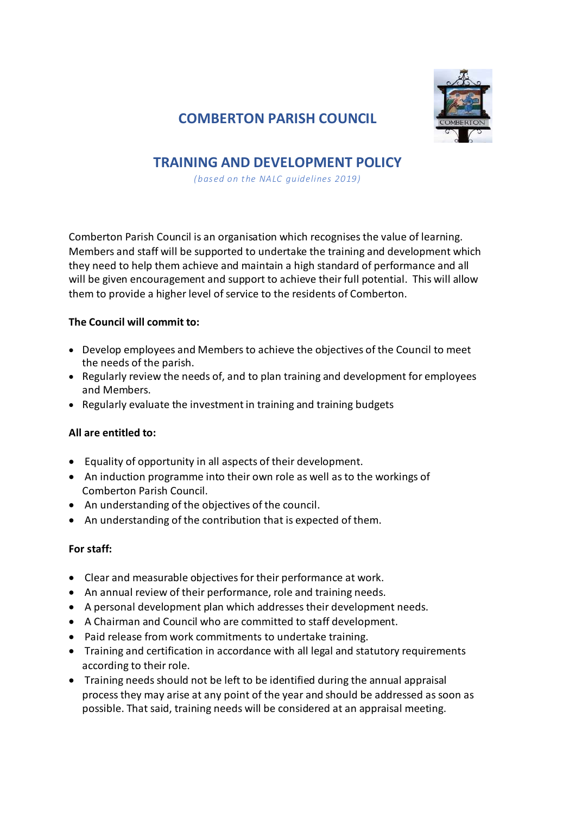

# **COMBERTON PARISH COUNCIL**

# **TRAINING AND DEVELOPMENT POLICY**

*(based on t he NALC guidelines 2019)* 

Comberton Parish Council is an organisation which recognises the value of learning. Members and staff will be supported to undertake the training and development which they need to help them achieve and maintain a high standard of performance and all will be given encouragement and support to achieve their full potential. This will allow them to provide a higher level of service to the residents of Comberton.

## **The Council will commit to:**

- Develop employees and Members to achieve the objectives of the Council to meet the needs of the parish.
- Regularly review the needs of, and to plan training and development for employees and Members.
- Regularly evaluate the investment in training and training budgets

## **All are entitled to:**

- Equality of opportunity in all aspects of their development.
- An induction programme into their own role as well as to the workings of Comberton Parish Council.
- An understanding of the objectives of the council.
- An understanding of the contribution that is expected of them.

## **For staff:**

- Clear and measurable objectives for their performance at work.
- An annual review of their performance, role and training needs.
- A personal development plan which addresses their development needs.
- A Chairman and Council who are committed to staff development.
- Paid release from work commitments to undertake training.
- Training and certification in accordance with all legal and statutory requirements according to their role.
- Training needs should not be left to be identified during the annual appraisal process they may arise at any point of the year and should be addressed as soon as possible. That said, training needs will be considered at an appraisal meeting.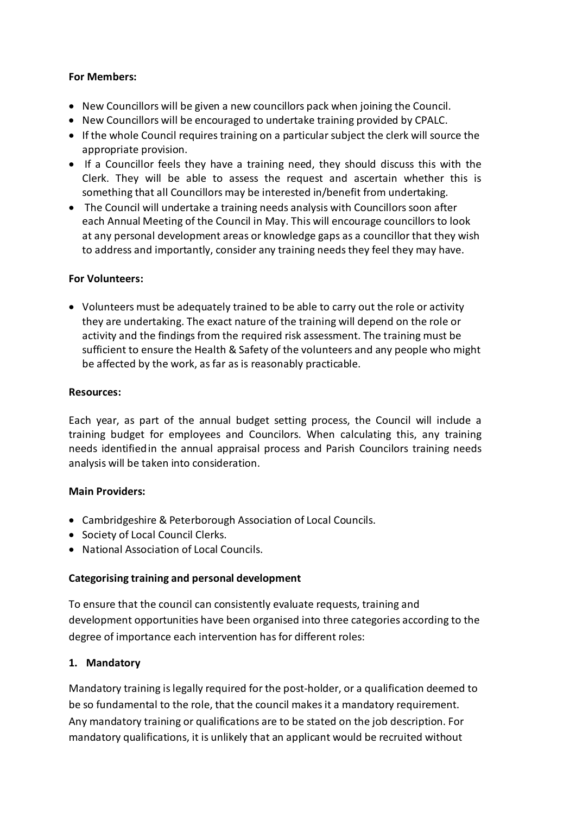### **For Members:**

- New Councillors will be given a new councillors pack when joining the Council.
- New Councillors will be encouraged to undertake training provided by CPALC.
- If the whole Council requires training on a particular subject the clerk will source the appropriate provision.
- If a Councillor feels they have a training need, they should discuss this with the Clerk. They will be able to assess the request and ascertain whether this is something that all Councillors may be interested in/benefit from undertaking.
- The Council will undertake a training needs analysis with Councillors soon after each Annual Meeting of the Council in May. This will encourage councillors to look at any personal development areas or knowledge gaps as a councillor that they wish to address and importantly, consider any training needs they feel they may have.

### **For Volunteers:**

 Volunteers must be adequately trained to be able to carry out the role or activity they are undertaking. The exact nature of the training will depend on the role or activity and the findings from the required risk assessment. The training must be sufficient to ensure the Health & Safety of the volunteers and any people who might be affected by the work, as far as is reasonably practicable.

#### **Resources:**

Each year, as part of the annual budget setting process, the Council will include a training budget for employees and Councilors. When calculating this, any training needs identified in the annual appraisal process and Parish Councilors training needs analysis will be taken into consideration.

## **Main Providers:**

- Cambridgeshire & Peterborough Association of Local Councils.
- Society of Local Council Clerks.
- National Association of Local Councils.

#### **Categorising training and personal development**

To ensure that the council can consistently evaluate requests, training and development opportunities have been organised into three categories according to the degree of importance each intervention has for different roles:

#### **1. Mandatory**

Mandatory training is legally required for the post-holder, or a qualification deemed to be so fundamental to the role, that the council makes it a mandatory requirement. Any mandatory training or qualifications are to be stated on the job description. For mandatory qualifications, it is unlikely that an applicant would be recruited without